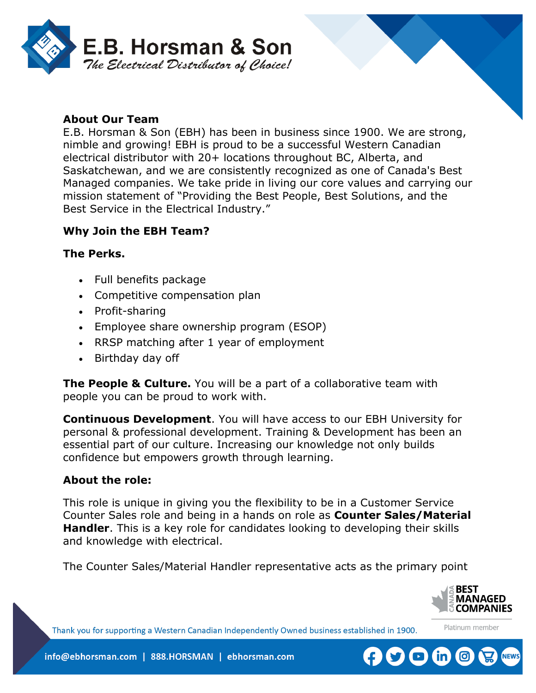

## **About Our Team**

E.B. Horsman & Son (EBH) has been in business since 1900. We are strong, nimble and growing! EBH is proud to be a successful Western Canadian electrical distributor with 20+ locations throughout BC, Alberta, and Saskatchewan, and we are consistently recognized as one of Canada's Best Managed companies. We take pride in living our core values and carrying our mission statement of "Providing the Best People, Best Solutions, and the Best Service in the Electrical Industry."

## **Why Join the EBH Team?**

#### **The Perks.**

- Full benefits package
- Competitive compensation plan
- Profit-sharing
- Employee share ownership program (ESOP)
- RRSP matching after 1 year of employment
- Birthday day off

**The People & Culture.** You will be a part of a collaborative team with people you can be proud to work with.

**Continuous Development**. You will have access to our EBH University for personal & professional development. Training & Development has been an essential part of our culture. Increasing our knowledge not only builds confidence but empowers growth through learning.

#### **About the role:**

This role is unique in giving you the flexibility to be in a Customer Service Counter Sales role and being in a hands on role as **Counter Sales/Material Handler**. This is a key role for candidates looking to developing their skills and knowledge with electrical.

The Counter Sales/Material Handler representative acts as the primary point



Platinum member

Thank you for supporting a Western Canadian Independently Owned business established in 1900.

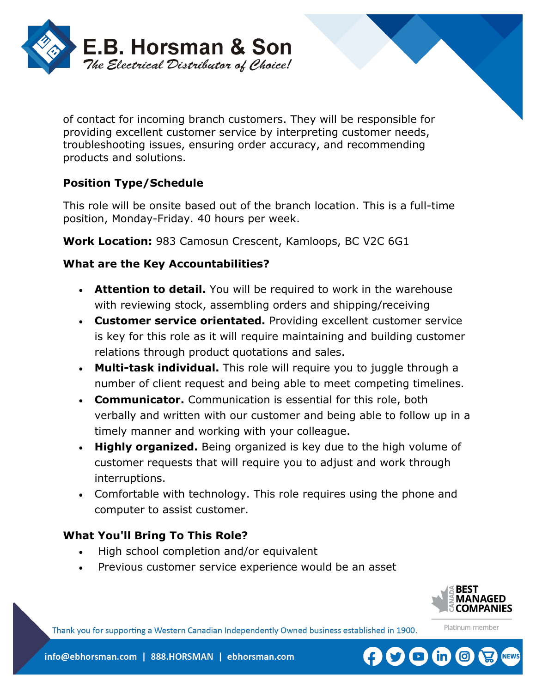

of contact for incoming branch customers. They will be responsible for providing excellent customer service by interpreting customer needs, troubleshooting issues, ensuring order accuracy, and recommending products and solutions.

# **Position Type/Schedule**

This role will be onsite based out of the branch location. This is a full-time position, Monday-Friday. 40 hours per week.

**Work Location:** 983 Camosun Crescent, Kamloops, BC V2C 6G1

## **What are the Key Accountabilities?**

- **Attention to detail.** You will be required to work in the warehouse with reviewing stock, assembling orders and shipping/receiving
- **Customer service orientated.** Providing excellent customer service is key for this role as it will require maintaining and building customer relations through product quotations and sales.
- **Multi-task individual.** This role will require you to juggle through a number of client request and being able to meet competing timelines.
- **Communicator.** Communication is essential for this role, both verbally and written with our customer and being able to follow up in a timely manner and working with your colleague.
- **Highly organized.** Being organized is key due to the high volume of customer requests that will require you to adjust and work through interruptions.
- Comfortable with technology. This role requires using the phone and computer to assist customer.

# **What You'll Bring To This Role?**

- High school completion and/or equivalent
- Previous customer service experience would be an asset



Platinum member

Thank you for supporting a Western Canadian Independently Owned business established in 1900.